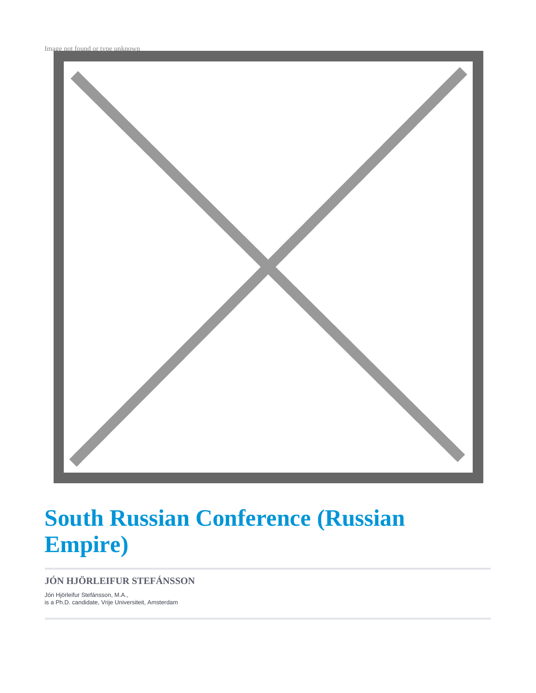Image not found or type unknown



# **South Russian Conference (Russian Empire)**

#### **JÓN HJÖRLEIFUR STEFÁNSSON**

Jón Hjörleifur Stefánsson, M.A., is a Ph.D. candidate, Vrije Universiteit, Amsterdam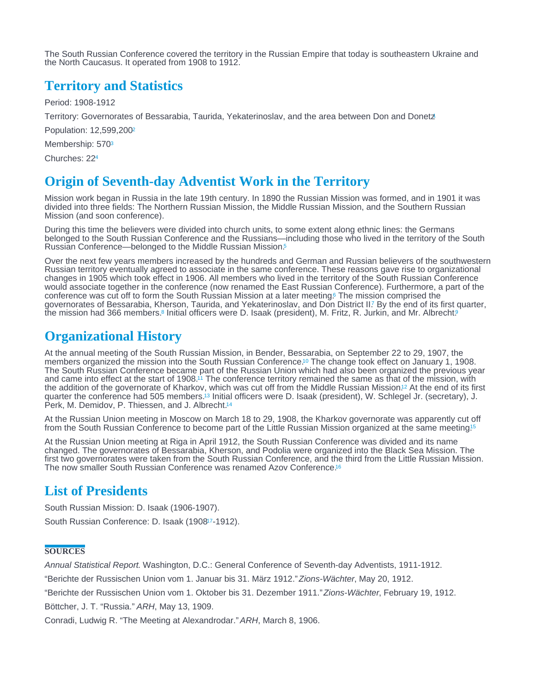<span id="page-1-0"></span>The South Russian Conference covered the territory in the Russian Empire that today is southeastern Ukraine and the North Caucasus. It operated from 1908 to 1912.

## Territory and Statistics

Period: 1908-1912

Territory: Governorates of Bessarabia, Taurida, Yekaterinoslav, and the area between Don and Donetz

Population: 12,599,200[2](#page-2-0)

Membership: 570<sup>[3](#page-2-0)</sup>

Churches: 22[4](#page-2-0)

## Origin of Seventh-day Adventist Work in the Territory

Mission work began in Russia in the late 19th century. In 1890 the Russian Mission was formed, and in 1901 it was divided into three fields: The Northern Russian Mission, the Middle Russian Mission, and the Southern Russian Mission (and soon conference).

During this time the believers were divided into church units, to some extent along ethnic lines: the Germans belonged to the South Russian Conference and the Russians—including those who lived in the territory of the South Russian Conference—belonged to the Middle Russian Mission.[5](#page-2-0)

Over the next few years members increased by the hundreds and German and Russian believers of the southwestern Russian territory eventually agreed to associate in the same conference. These reasons gave rise to organizational changes in 1905 which took effect in 1906. All members who lived in the territory of the South Russian Conference would associate together in the conference (now renamed the East Russian Conference). Furthermore, a part of the conference was cut off to form the South Russian Mission at a later meeting.6 The mission comprised the governorates of Bessarabia, Kherson, Taurida, and Yekaterinoslav, and Don District II[.](#page-2-0) By the end of its first quarter, the mission had 366 members.<sup>8</sup> Initial officers were D[.](#page-2-0) Isaak (president), M. Fritz, R. Jurkin, and Mr. Albrecht.[9](#page-2-0) 6 7

## Organizational History

At the annual meeting of the South Russian Mission, in Bender, Bessarabia, on September 22 to 29, 1907, the members organized the mission into the South Russian Conference[.](#page-2-0)<sup>10</sup> The change took effect on January 1, 1908. The South Russian Conference became part of the Russian Union which had also been organized the previous year and came into effect at the start of 1908[.](#page-2-0)<sup> $\dot{\eta}$ </sup> The conference territory remained the same as that of the mission, with the addition of the governorate of Kharkov, which was cut off from the Middle Russian Mission[.](#page-2-0)<sup>12</sup> At the end of its first quarter the conference had 505 members.<sup>13</sup> Initial officers were D[.](#page-2-0) Isaak (president), W. Schlegel Jr. (secretary), J. Perk, M. Demidov, P. Thiessen, and J. Albrecht.<sup>[14](#page-2-0)</sup>

At the Russian Union meeting in Moscow on March 18 to 29, 1908, the Kharkov governorate was apparently cut off from the South Russian Conference to become part of the Little Russian Mission organized at the same meeting.<sup>5</sup>

At the Russian Union meeting at Riga in April 1912, the South Russian Conference was divided and its name changed. The governorates of Bessarabia, Kherson, and Podolia were organized into the Black Sea Mission. The first two governorates were taken from the South Russian Conference, and the third from the Little Russian Mission. The now smaller South Russian Conference was renamed Azov Conference.<sup>[16](#page-2-0)</sup>

## List of Presidents

South Russian Mission: D. Isaak (1906-1907). South Russian Conference: D. Isaak (1908<sup>[17](#page-2-0)</sup>-1912).

#### **SOURCES**

Annual Statistical Report. Washington, D.C.: General Conference of Seventh-day Adventists, 1911-1912.

"Berichte der Russischen Union vom 1. Januar bis 31. März 1912." Zions-Wächter, May 20, 1912.

"Berichte der Russischen Union vom 1. Oktober bis 31. Dezember 1911." Zions-Wächter, February 19, 1912.

Böttcher, J. T. "Russia." ARH, May 13, 1909.

Conradi, Ludwig R. "The Meeting at Alexandrodar." ARH, March 8, 1906.